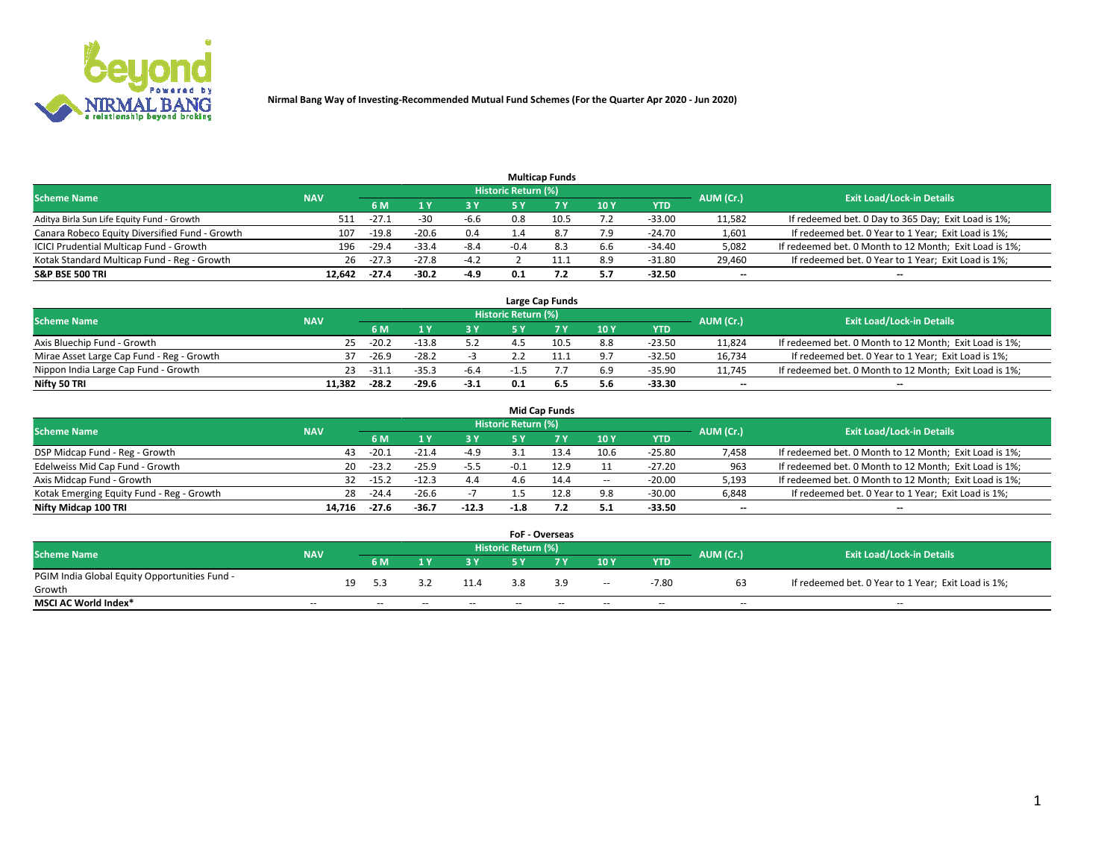

|                                                |            |         |         |        |                     | <b>Multicap Funds</b> |     |          |                          |                                                        |
|------------------------------------------------|------------|---------|---------|--------|---------------------|-----------------------|-----|----------|--------------------------|--------------------------------------------------------|
| <b>Scheme Name</b>                             | <b>NAV</b> |         |         |        | Historic Return (%) |                       |     |          | AUM (Cr.)                | <b>Exit Load/Lock-in Details</b>                       |
|                                                |            | 6 M     |         | 73 Y   | 5 ۷                 |                       | 10Y | YTD      |                          |                                                        |
| Aditya Birla Sun Life Equity Fund - Growth     | 511        | $-27.1$ | -30     | $-6.6$ | 0.8                 |                       |     | $-33.00$ | 11,582                   | If redeemed bet. 0 Day to 365 Day; Exit Load is 1%;    |
| Canara Robeco Equity Diversified Fund - Growth | 107        | $-19.8$ | $-20.6$ | 0.4    |                     | 8.                    | 7.9 | $-24.70$ | 1,601                    | If redeemed bet. 0 Year to 1 Year; Exit Load is 1%;    |
| ICICI Prudential Multicap Fund - Growth        | 196        | $-29.4$ | $-33.4$ | $-8.4$ | $-0.4$              | 8.3                   | 6.6 | $-34.40$ | 5,082                    | If redeemed bet. 0 Month to 12 Month; Exit Load is 1%; |
| Kotak Standard Multicap Fund - Reg - Growth    | 26         | $-27.3$ | $-27.8$ | $-4.2$ |                     | <b>++</b>             | 8.9 | $-31.80$ | 29,460                   | If redeemed bet. 0 Year to 1 Year; Exit Load is 1%;    |
| <b>S&amp;P BSE 500 TRI</b>                     | 12.642     | $-27.4$ | $-30.2$ | $-4.9$ | 0.1                 | 7.2                   | 5.7 | $-32.50$ | $\overline{\phantom{a}}$ | --                                                     |

|                                           |            |         |         |        |                            | Large Cap Funds |     |            |           |                                                        |
|-------------------------------------------|------------|---------|---------|--------|----------------------------|-----------------|-----|------------|-----------|--------------------------------------------------------|
| <b>Scheme Name</b>                        | <b>NAV</b> |         |         |        | <b>Historic Return (%)</b> |                 |     |            | AUM (Cr.) | <b>Exit Load/Lock-in Details</b>                       |
|                                           |            | 6 M     |         | 2 V.   | 5 V                        |                 | 10Y | <b>YTD</b> |           |                                                        |
| Axis Bluechip Fund - Growth               | 25         | $-20.2$ | $-13.8$ | 5.2    | 4.5                        | 10.5            | 8.8 | $-23.50$   | 11,824    | If redeemed bet. 0 Month to 12 Month; Exit Load is 1%; |
| Mirae Asset Large Cap Fund - Reg - Growth | 37         | $-26.9$ | $-28.2$ |        |                            |                 | 9.7 | $-32.50$   | 16.734    | If redeemed bet. 0 Year to 1 Year; Exit Load is 1%;    |
| Nippon India Large Cap Fund - Growth      | 23         | -31     | $-35.3$ | $-6.4$ |                            |                 | 6.9 | $-35.90$   | 11.745    | If redeemed bet. 0 Month to 12 Month; Exit Load is 1%; |
| Nifty 50 TRI                              | 11.382     | -28.2   | $-29.6$ | $-3.1$ | 0.1                        | -6.5            | 5.6 | $-33.30$   | --        | $- -$                                                  |

|                                           |            |         |         |           |                            | <b>Mid Cap Funds</b> |       |            |                          |                                                        |
|-------------------------------------------|------------|---------|---------|-----------|----------------------------|----------------------|-------|------------|--------------------------|--------------------------------------------------------|
| <b>Scheme Name</b>                        | <b>NAV</b> |         |         |           | <b>Historic Return (%)</b> |                      |       |            | AUM (Cr.)                | <b>Exit Load/Lock-in Details</b>                       |
|                                           |            | 6 M     |         | <b>3Y</b> | 5 Y                        |                      | 10 Y  | <b>YTD</b> |                          |                                                        |
| DSP Midcap Fund - Reg - Growth            | 43         | $-20.1$ | $-21.4$ | $-4.9$    |                            | 13.4                 | 10.6  | $-25.80$   | 7,458                    | If redeemed bet. 0 Month to 12 Month; Exit Load is 1%; |
| Edelweiss Mid Cap Fund - Growth           | 20         | $-23.2$ | $-25.9$ | $-5.5$    |                            | 12.9                 |       | $-27.20$   | 963                      | If redeemed bet. 0 Month to 12 Month; Exit Load is 1%; |
| Axis Midcap Fund - Growth                 | 32         | $-15.2$ | $-12.3$ | 4.4       |                            | 14.4                 | $\!-$ | $-20.00$   | 5,193                    | If redeemed bet. 0 Month to 12 Month; Exit Load is 1%; |
| Kotak Emerging Equity Fund - Reg - Growth | 28         | $-24.4$ | $-26.6$ |           |                            | 12.8                 | 9.8   | $-30.00$   | 6,848                    | If redeemed bet. 0 Year to 1 Year; Exit Load is 1%;    |
| Nifty Midcap 100 TRI                      | 14.716     | $-27.6$ | -36.7   | $-12.3$   | $-1.8$                     |                      | 5.1   | $-33.50$   | $\overline{\phantom{m}}$ | $- -$                                                  |

|                                               |                          |    |        |       |       |                            | <b>FoF - Overseas</b> |                          |            |                          |                                                     |
|-----------------------------------------------|--------------------------|----|--------|-------|-------|----------------------------|-----------------------|--------------------------|------------|--------------------------|-----------------------------------------------------|
| <b>Scheme Name</b>                            | <b>NAV</b>               |    |        |       |       | <b>Historic Return (%)</b> |                       |                          |            | AUM (Cr.)                | <b>Exit Load/Lock-in Details</b>                    |
|                                               |                          |    | 6 M    |       | 2 V   | E V                        |                       | 10Y                      | <b>YTD</b> |                          |                                                     |
| PGIM India Global Equity Opportunities Fund - |                          | 19 | -5.3   | 32    | 11.4  | 3.8                        | 3.9                   | $\overline{\phantom{a}}$ | -7.80      | 63                       | If redeemed bet. 0 Year to 1 Year; Exit Load is 1%; |
| Growth                                        |                          |    |        |       |       |                            |                       |                          |            |                          |                                                     |
| <b>MSCI AC World Index*</b>                   | $\overline{\phantom{a}}$ |    | $\sim$ | $- -$ | $- -$ | $\sim$                     | $- -$                 | $\overline{\phantom{a}}$ | $\sim$     | $\overline{\phantom{m}}$ | $\sim$                                              |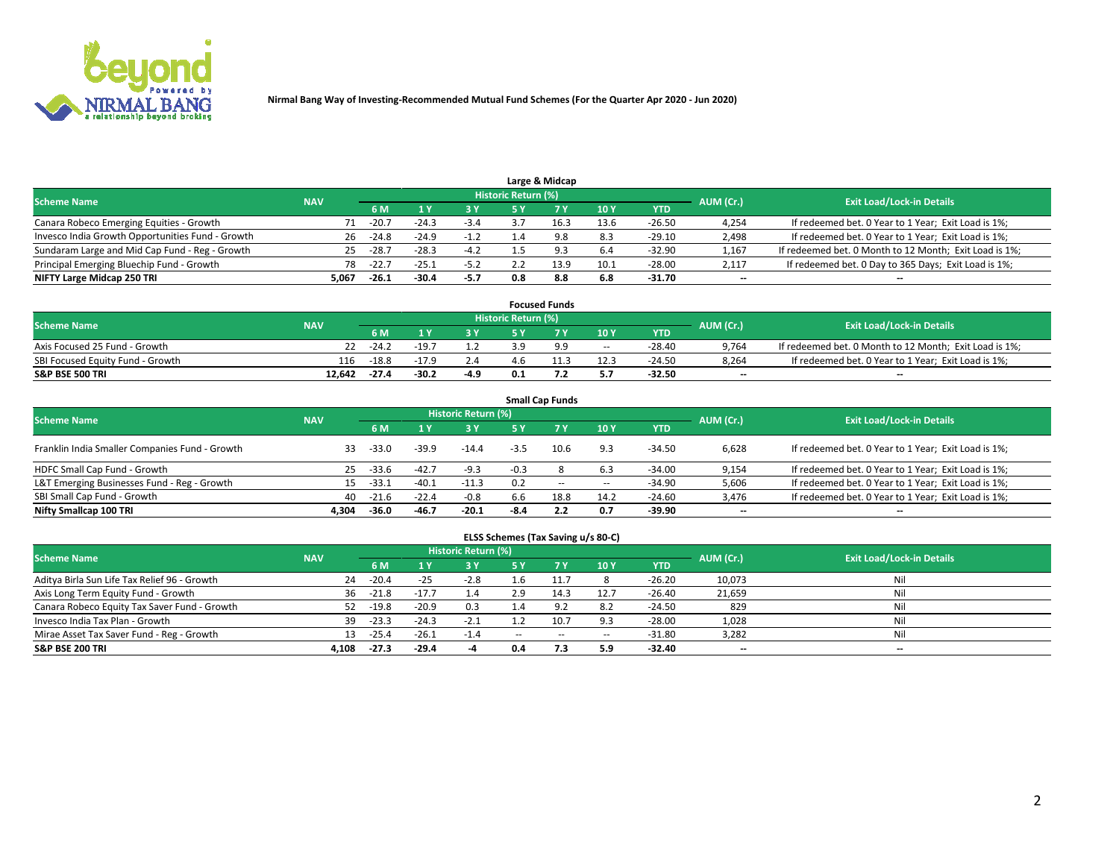

|                                                  |            |         |         |        |                     | Large & Midcap |      |            |           |                                                        |
|--------------------------------------------------|------------|---------|---------|--------|---------------------|----------------|------|------------|-----------|--------------------------------------------------------|
| <b>Scheme Name</b>                               | <b>NAV</b> |         |         |        | Historic Return (%) |                |      |            | AUM (Cr.) | <b>Exit Load/Lock-in Details</b>                       |
|                                                  |            | 6 M     |         | 3 Y    | 5٧                  |                | 10Y  | <b>YTD</b> |           |                                                        |
| Canara Robeco Emerging Equities - Growth         | 71         | $-20.7$ | $-24.3$ | $-3.4$ |                     |                | 13.6 | $-26.50$   | 4,254     | If redeemed bet. 0 Year to 1 Year; Exit Load is 1%;    |
| Invesco India Growth Opportunities Fund - Growth | 26         | $-24.8$ | $-24.9$ | $-1.2$ |                     | 9.8            | 8.3  | $-29.10$   | 2,498     | If redeemed bet. 0 Year to 1 Year; Exit Load is 1%;    |
| Sundaram Large and Mid Cap Fund - Reg - Growth   | 25         | $-28.7$ | $-28.3$ | $-4.2$ |                     | <b>Q</b> 3     | 6.4  | $-32.90$   | 1,167     | If redeemed bet. 0 Month to 12 Month; Exit Load is 1%; |
| Principal Emerging Bluechip Fund - Growth        | 78         | $-22.7$ | $-25.1$ | $-5.2$ |                     | 13.9           | 10.1 | $-28.00$   | 2,117     | If redeemed bet. 0 Day to 365 Days; Exit Load is 1%;   |
| NIFTY Large Midcap 250 TRI                       | 5.067      | $-26.1$ | $-30.4$ | $-5.7$ | 0.8                 | 8.8            | 6.8  | $-31.70$   | $-$       | --                                                     |

|                                  |            |         |         |        |                     | <b>Focused Funds</b> |        |            |           |                                                        |
|----------------------------------|------------|---------|---------|--------|---------------------|----------------------|--------|------------|-----------|--------------------------------------------------------|
| <b>Scheme Name</b>               | <b>NAV</b> |         |         |        | Historic Return (%) |                      |        |            | AUM (Cr.) | <b>Exit Load/Lock-in Details</b>                       |
|                                  |            | 6 M     |         |        |                     |                      | 10Y    | <b>YTD</b> |           |                                                        |
| Axis Focused 25 Fund - Growth    |            | $-24.2$ | $-19.7$ |        | ם ב                 | 9.9                  | $\sim$ | $-28.40$   | 9.764     | If redeemed bet. 0 Month to 12 Month; Exit Load is 1%; |
| SBI Focused Equity Fund - Growth | 116        | $-18.8$ | $-17.9$ | 2.4    |                     |                      | 12.3   | -24.50     | 8.264     | If redeemed bet. 0 Year to 1 Year; Exit Load is 1%;    |
| <b>S&amp;P BSE 500 TRI</b>       | 12.642     | $-27.4$ | $-30.2$ | $-4.9$ | 0.1                 | .،                   | 5.7    | $-32.50$   | $- -$     | $\overline{\phantom{a}}$                               |

| <b>Small Cap Funds</b>                                                                                          |       |         |         |         |        |           |       |            |                          |                                                     |  |  |  |  |
|-----------------------------------------------------------------------------------------------------------------|-------|---------|---------|---------|--------|-----------|-------|------------|--------------------------|-----------------------------------------------------|--|--|--|--|
| <b>Historic Return (%)</b><br><b>Exit Load/Lock-in Details</b><br><b>Scheme Name</b><br><b>NAV</b><br>AUM (Cr.) |       |         |         |         |        |           |       |            |                          |                                                     |  |  |  |  |
|                                                                                                                 |       | 6 M     |         | 3 Y     | 5 Y    | <b>7Y</b> | 10Y   | <b>YTD</b> |                          |                                                     |  |  |  |  |
| Franklin India Smaller Companies Fund - Growth                                                                  | 33    | $-33.0$ | $-39.9$ | $-14.4$ | $-3.5$ | 10.6      | 9.3   | $-34.50$   | 6,628                    | If redeemed bet. 0 Year to 1 Year; Exit Load is 1%; |  |  |  |  |
| HDFC Small Cap Fund - Growth                                                                                    | 25    | $-33.6$ | $-42.7$ | $-9.3$  | $-0.3$ |           | 6.3   | $-34.00$   | 9,154                    | If redeemed bet. 0 Year to 1 Year; Exit Load is 1%; |  |  |  |  |
| L&T Emerging Businesses Fund - Reg - Growth                                                                     | 15    | $-33.1$ | $-40.1$ | $-11.3$ | 0.2    | $- -$     | $\!-$ | $-34.90$   | 5,606                    | If redeemed bet. 0 Year to 1 Year; Exit Load is 1%; |  |  |  |  |
| SBI Small Cap Fund - Growth                                                                                     | 40    | $-21.6$ | $-22.4$ | $-0.8$  | 6.6    | 18.8      | 14.2  | $-24.60$   | 3,476                    | If redeemed bet. 0 Year to 1 Year; Exit Load is 1%; |  |  |  |  |
| Nifty Smallcap 100 TRI                                                                                          | 4.304 | $-36.0$ | $-46.7$ | $-20.1$ | $-8.4$ | 2.2       | 0.7   | -39.90     | $\overline{\phantom{a}}$ | --                                                  |  |  |  |  |

## **ELSS Schemes (Tax Saving u/s 80-C)**

| <b>Scheme Name</b>                           | <b>NAV</b> |         |         | <b>Historic Return (%)</b> |        |       |        |            | AUM (Cr.) | <b>Exit Load/Lock-in Details</b> |
|----------------------------------------------|------------|---------|---------|----------------------------|--------|-------|--------|------------|-----------|----------------------------------|
|                                              |            | 6 M     |         | <b>3Y</b>                  | 5 Y    |       | 10Y    | <b>YTD</b> |           |                                  |
| Aditya Birla Sun Life Tax Relief 96 - Growth | 24         | $-20.4$ | $-25$   | $-2.8$                     |        |       |        | $-26.20$   | 10,073    | Nil                              |
| Axis Long Term Equity Fund - Growth          | 36         | $-21.8$ | $-17.$  | 1.4                        | 2.9    | 14.3  | 12.7   | $-26.40$   | 21,659    | Nil                              |
| Canara Robeco Equity Tax Saver Fund - Growth | 52         | $-19.8$ | $-20.9$ | 0.3                        |        | a :   | 8.2    | $-24.50$   | 829       | Nil                              |
| Invesco India Tax Plan - Growth              | 39         | $-23.3$ | $-24.3$ | $-2.1$                     |        | 10.7  | 9.3    | $-28.00$   | 1,028     | Nil                              |
| Mirae Asset Tax Saver Fund - Reg - Growth    | 13         | $-25.4$ | $-26.1$ | -1.4                       | $\sim$ | $- -$ | $\sim$ | $-31.80$   | 3,282     | Nil                              |
| <b>S&amp;P BSE 200 TRI</b>                   | 4.108      | $-27.3$ | $-29.4$ |                            | 0.4    | 7.3   | 5.9    | $-32.40$   | $- -$     | $\overline{\phantom{a}}$         |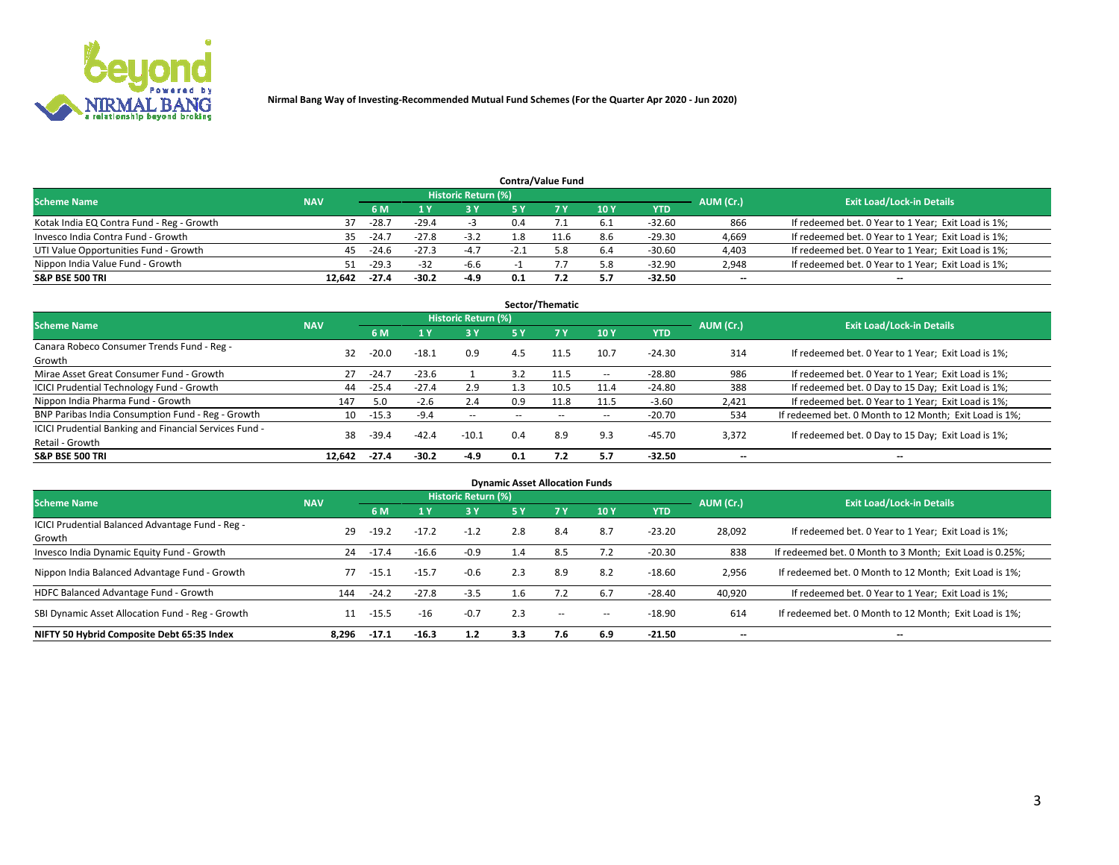

|                                           |            |                                  |         |            |     | <b>Contra/Value Fund</b> |     |            |       |                                                     |
|-------------------------------------------|------------|----------------------------------|---------|------------|-----|--------------------------|-----|------------|-------|-----------------------------------------------------|
| <b>Scheme Name</b>                        | AUM (Cr.)  | <b>Exit Load/Lock-in Details</b> |         |            |     |                          |     |            |       |                                                     |
|                                           | <b>NAV</b> | 6 M                              |         | <b>3 Y</b> |     |                          | 10Y | <b>YTD</b> |       |                                                     |
| Kotak India EQ Contra Fund - Reg - Growth | 37         | $-28.7$                          | $-29.4$ |            | 0.4 |                          | 6.1 | $-32.60$   | 866   | If redeemed bet. 0 Year to 1 Year; Exit Load is 1%; |
| Invesco India Contra Fund - Growth        | 35         | $-24.7$                          | $-27.8$ | $-3.2$     | 1.8 |                          | 8.6 | $-29.30$   | 4,669 | If redeemed bet. 0 Year to 1 Year; Exit Load is 1%; |
| UTI Value Opportunities Fund - Growth     | 45         | $-24.6$                          | $-27.3$ | $-4.7$     |     |                          | 6.4 | $-30.60$   | 4,403 | If redeemed bet. 0 Year to 1 Year; Exit Load is 1%; |
| Nippon India Value Fund - Growth          | 51         | $-29.3$                          | $-32$   | $-6.6$     |     |                          | 5.8 | $-32.90$   | 2,948 | If redeemed bet. 0 Year to 1 Year; Exit Load is 1%; |
| <b>S&amp;P BSE 500 TRI</b>                | 12.642     | -27.4                            | $-30.2$ | -4.9       | 0.1 |                          | 5.7 | $-32.50$   | $- -$ | $\overline{\phantom{a}}$                            |

| Sector/Thematic                                                           |            |         |         |                            |        |                          |                          |            |                          |                                                        |  |  |  |
|---------------------------------------------------------------------------|------------|---------|---------|----------------------------|--------|--------------------------|--------------------------|------------|--------------------------|--------------------------------------------------------|--|--|--|
| <b>Scheme Name</b>                                                        | <b>NAV</b> |         |         | <b>Historic Return (%)</b> |        |                          |                          |            | AUM (Cr.)                | <b>Exit Load/Lock-in Details</b>                       |  |  |  |
|                                                                           |            | 6 M     |         | 3 Y                        | 5 Y    | 7 Y                      | 10Y                      | <b>YTD</b> |                          |                                                        |  |  |  |
| Canara Robeco Consumer Trends Fund - Reg -<br>Growth                      | 32         | $-20.0$ | $-18.1$ | 0.9                        | 4.5    | 11.5                     | 10.7                     | $-24.30$   | 314                      | If redeemed bet. 0 Year to 1 Year; Exit Load is 1%;    |  |  |  |
| Mirae Asset Great Consumer Fund - Growth                                  | 27         | $-24.7$ | $-23.6$ |                            | 3.2    | 11.5                     | --                       | $-28.80$   | 986                      | If redeemed bet. 0 Year to 1 Year; Exit Load is 1%;    |  |  |  |
| <b>ICICI Prudential Technology Fund - Growth</b>                          | 44         | $-25.4$ | $-27.4$ | 2.9                        | 1.3    | 10.5                     | 11.4                     | $-24.80$   | 388                      | If redeemed bet. 0 Day to 15 Day; Exit Load is 1%;     |  |  |  |
| Nippon India Pharma Fund - Growth                                         | 147        | 5.0     | $-2.6$  | 2.4                        | 0.9    | 11.8                     | 11.5                     | $-3.60$    | 2.421                    | If redeemed bet. 0 Year to 1 Year; Exit Load is 1%;    |  |  |  |
| BNP Paribas India Consumption Fund - Reg - Growth                         | 10         | $-15.3$ | -9.4    | $\sim$                     | $\sim$ | $\overline{\phantom{a}}$ | $\overline{\phantom{a}}$ | $-20.70$   | 534                      | If redeemed bet. 0 Month to 12 Month; Exit Load is 1%; |  |  |  |
| ICICI Prudential Banking and Financial Services Fund -<br>Retail - Growth | 38         | $-39.4$ | $-42.4$ | $-10.1$                    | 0.4    | 8.9                      | 9.3                      | $-45.70$   | 3,372                    | If redeemed bet. 0 Day to 15 Day; Exit Load is 1%;     |  |  |  |
| <b>S&amp;P BSE 500 TRI</b>                                                | 12.642     | $-27.4$ | $-30.2$ | $-4.9$                     | 0.1    | 7.2                      | 5.7                      | $-32.50$   | $\overline{\phantom{a}}$ | --                                                     |  |  |  |

| <b>Dynamic Asset Allocation Funds</b>                      |            |         |         |                            |     |                          |            |            |                          |                                                          |  |  |  |
|------------------------------------------------------------|------------|---------|---------|----------------------------|-----|--------------------------|------------|------------|--------------------------|----------------------------------------------------------|--|--|--|
| <b>Scheme Name</b>                                         | <b>NAV</b> |         |         | <b>Historic Return (%)</b> |     |                          |            |            | AUM (Cr.)                | <b>Exit Load/Lock-in Details</b>                         |  |  |  |
|                                                            |            | 6 M     |         | $-3Y$                      | 5 Y | <b>7Y</b>                | <b>10Y</b> | <b>YTD</b> |                          |                                                          |  |  |  |
| ICICI Prudential Balanced Advantage Fund - Reg -<br>Growth | 29         | $-19.2$ | $-17.2$ | $-1.2$                     | 2.8 | 8.4                      | 8.7        | $-23.20$   | 28,092                   | If redeemed bet. 0 Year to 1 Year; Exit Load is 1%;      |  |  |  |
| Invesco India Dynamic Equity Fund - Growth                 | 24         | $-17.4$ | $-16.6$ | $-0.9$                     | 1.4 | 8.5                      | 7.2        | $-20.30$   | 838                      | If redeemed bet. 0 Month to 3 Month; Exit Load is 0.25%; |  |  |  |
| Nippon India Balanced Advantage Fund - Growth              | 77         | -15.1   | $-15.7$ | $-0.6$                     | 2.3 | 8.9                      | 8.2        | $-18.60$   | 2,956                    | If redeemed bet. 0 Month to 12 Month; Exit Load is 1%;   |  |  |  |
| HDFC Balanced Advantage Fund - Growth                      | 144        | $-24.2$ | $-27.8$ | $-3.5$                     | 1.6 |                          | 6.7        | $-28.40$   | 40,920                   | If redeemed bet. 0 Year to 1 Year; Exit Load is 1%;      |  |  |  |
| SBI Dynamic Asset Allocation Fund - Reg - Growth           | 11         | $-15.5$ | $-16$   | $-0.7$                     | 2.3 | $\overline{\phantom{a}}$ | --         | $-18.90$   | 614                      | If redeemed bet. 0 Month to 12 Month; Exit Load is 1%;   |  |  |  |
| NIFTY 50 Hybrid Composite Debt 65:35 Index                 | 8.296      | $-17.1$ | $-16.3$ | 1.2                        | 3.3 | 7.6                      | 6.9        | $-21.50$   | $\overline{\phantom{a}}$ | --                                                       |  |  |  |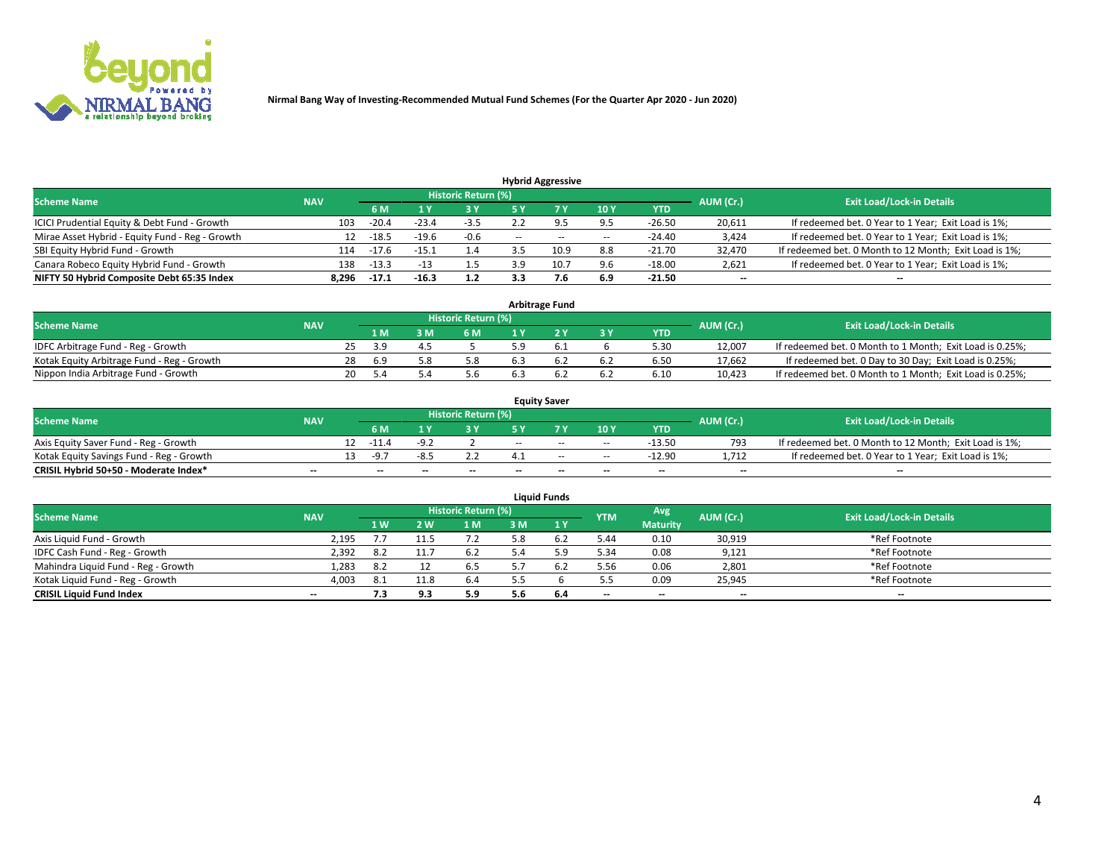

| <b>Hybrid Aggressive</b>                        |            |         |         |                     |       |          |                          |          |                          |                                                        |  |  |  |
|-------------------------------------------------|------------|---------|---------|---------------------|-------|----------|--------------------------|----------|--------------------------|--------------------------------------------------------|--|--|--|
| <b>Scheme Name</b>                              | <b>NAV</b> |         |         | Historic Return (%) |       |          |                          |          | AUM (Cr.)                | <b>Exit Load/Lock-in Details</b>                       |  |  |  |
|                                                 |            | 6 M     |         | 3 Y                 | 5 ۷   |          | 10Y                      | YTD      |                          |                                                        |  |  |  |
| ICICI Prudential Equity & Debt Fund - Growth    | 103        | $-20.4$ | $-23.4$ | $-3.5$              |       | $\Omega$ | 9.5                      | $-26.50$ | 20,611                   | If redeemed bet. 0 Year to 1 Year; Exit Load is 1%;    |  |  |  |
| Mirae Asset Hybrid - Equity Fund - Reg - Growth |            | $-18.5$ | $-19.6$ | $-0.6$              | $- -$ | $\sim$   | $\overline{\phantom{a}}$ | $-24.40$ | 3,424                    | If redeemed bet. 0 Year to 1 Year; Exit Load is 1%;    |  |  |  |
| SBI Equity Hybrid Fund - Growth                 | 114        | $-17.6$ | -15.1   | 1.4                 |       | 10.9     | 8.8                      | $-21.70$ | 32.470                   | If redeemed bet. 0 Month to 12 Month; Exit Load is 1%; |  |  |  |
| Canara Robeco Equity Hybrid Fund - Growth       | 138        | $-13.3$ | $-13$   | 1.5                 |       |          | 9.6                      | $-18.00$ | 2,621                    | If redeemed bet. 0 Year to 1 Year; Exit Load is 1%;    |  |  |  |
| NIFTY 50 Hybrid Composite Debt 65:35 Index      | 8,296      | $-17.1$ | $-16.3$ | 1.2                 | 3.3   |          | 6.9                      | $-21.50$ | $\overline{\phantom{a}}$ | --                                                     |  |  |  |

| <b>Arbitrage Fund</b>                      |            |    |           |  |                     |     |  |     |            |           |                                                          |  |  |
|--------------------------------------------|------------|----|-----------|--|---------------------|-----|--|-----|------------|-----------|----------------------------------------------------------|--|--|
| <b>Scheme Name</b>                         | <b>NAV</b> |    |           |  | Historic Return (%) |     |  |     |            | AUM (Cr.) | <b>Exit Load/Lock-in Details</b>                         |  |  |
|                                            |            |    | 1 M       |  | 6 M                 |     |  | 3 Y | <b>YTD</b> |           |                                                          |  |  |
| IDFC Arbitrage Fund - Reg - Growth         |            |    | <b>29</b> |  |                     |     |  |     | 5.30       | 12.007    | If redeemed bet. 0 Month to 1 Month; Exit Load is 0.25%; |  |  |
| Kotak Equity Arbitrage Fund - Reg - Growth |            | 28 | 6.9       |  | 5.8                 | 6.3 |  | 6.2 | 6.50       | 17.662    | If redeemed bet. 0 Day to 30 Day; Exit Load is 0.25%;    |  |  |
| Nippon India Arbitrage Fund - Growth       |            | 20 |           |  | 5.6                 |     |  | 6.2 | 6.10       | 10.423    | If redeemed bet. 0 Month to 1 Month; Exit Load is 0.25%; |  |  |

| <b>Equity Saver</b>                      |                          |  |                          |       |                     |       |                          |                          |            |           |                                                        |  |  |  |
|------------------------------------------|--------------------------|--|--------------------------|-------|---------------------|-------|--------------------------|--------------------------|------------|-----------|--------------------------------------------------------|--|--|--|
| <b>Scheme Name</b>                       | <b>NAV</b>               |  |                          |       | Historic Return (%) |       |                          |                          |            | AUM (Cr.) | <b>Exit Load/Lock-in Details</b>                       |  |  |  |
|                                          |                          |  | 6 M                      |       |                     |       |                          | 10Y                      | <b>YTD</b> |           |                                                        |  |  |  |
| Axis Equity Saver Fund - Reg - Growth    |                          |  | -11                      | _q    |                     | $- -$ | $-$                      | $\sim$                   | $-13.50$   | 793       | If redeemed bet. 0 Month to 12 Month; Exit Load is 1%; |  |  |  |
| Kotak Equity Savings Fund - Reg - Growth |                          |  | __ __ __                 |       |                     |       | $-$                      | $-$                      | $-12.90$   | 712       | If redeemed bet. 0 Year to 1 Year; Exit Load is 1%;    |  |  |  |
| CRISIL Hybrid 50+50 - Moderate Index*    | $\overline{\phantom{a}}$ |  | $\overline{\phantom{a}}$ | $- -$ | $-$                 | $-$   | $\overline{\phantom{a}}$ | $\overline{\phantom{a}}$ | $-$        | $- -$     | $\overline{\phantom{a}}$                               |  |  |  |

| <b>Liquid Funds</b>                 |                          |      |      |                            |     |     |            |                 |           |                                  |  |  |  |
|-------------------------------------|--------------------------|------|------|----------------------------|-----|-----|------------|-----------------|-----------|----------------------------------|--|--|--|
| <b>Scheme Name</b>                  | <b>NAV</b>               |      |      | <b>Historic Return (%)</b> |     |     | <b>YTM</b> | Avg             | AUM (Cr.) | <b>Exit Load/Lock-in Details</b> |  |  |  |
|                                     |                          | 1 W  | 2 W. | 1 M                        | з м | 1Y  |            | <b>Maturity</b> |           |                                  |  |  |  |
| Axis Liquid Fund - Growth           | 2,195                    |      |      | 7.2                        | 5.8 | 6.2 | 5.44       | 0.10            | 30,919    | *Ref Footnote                    |  |  |  |
| IDFC Cash Fund - Reg - Growth       | 2,392                    | 8.2  |      | 6.2                        |     |     | 5.34       | 0.08            | 9,121     | *Ref Footnote                    |  |  |  |
| Mahindra Liquid Fund - Reg - Growth | 1,283                    | 8.2  |      | 6.5                        |     |     | 5.56       | 0.06            | 2,801     | *Ref Footnote                    |  |  |  |
| Kotak Liquid Fund - Reg - Growth    | 4,003                    | -8.1 |      | 6.4                        | 55  |     | 5.5        | 0.09            | 25,945    | *Ref Footnote                    |  |  |  |
| <b>CRISIL Liquid Fund Index</b>     | $\overline{\phantom{a}}$ | 7.3  | 9.3  | 5.9                        | 5.6 | 6.4 | $- -$      | $- -$           | $- -$     | $-$                              |  |  |  |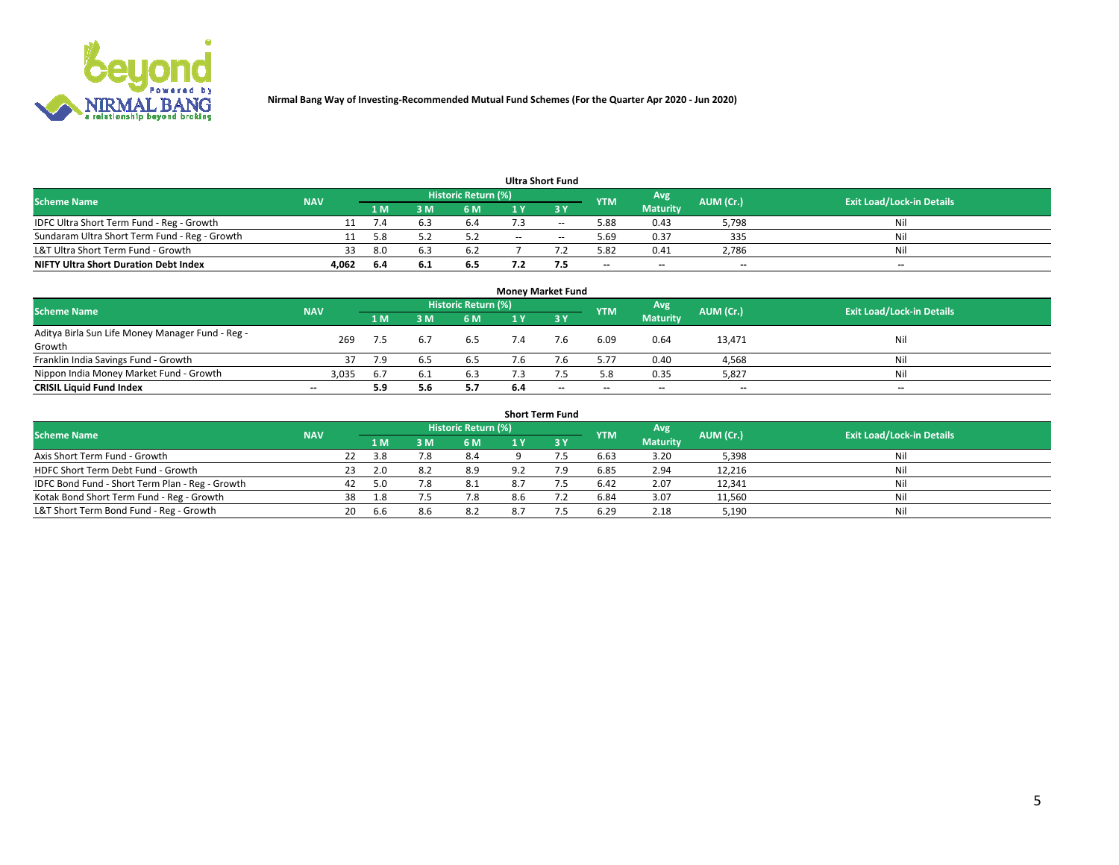

| <b>Ultra Short Fund</b>                       |            |     |     |                     |     |                          |            |                          |           |                                  |  |  |  |
|-----------------------------------------------|------------|-----|-----|---------------------|-----|--------------------------|------------|--------------------------|-----------|----------------------------------|--|--|--|
| Scheme Name                                   | <b>NAV</b> |     |     | Historic Return (%) |     |                          | <b>YTM</b> | Avg                      | AUM (Cr.) | <b>Exit Load/Lock-in Details</b> |  |  |  |
|                                               |            | 1 M |     | 6 M                 |     | <b>3 Y</b>               |            | <b>Maturity</b>          |           |                                  |  |  |  |
| IDFC Ultra Short Term Fund - Reg - Growth     |            |     |     | b.4                 |     | $\overline{\phantom{m}}$ | 5.88       | 0.43                     | 5,798     | Nil                              |  |  |  |
| Sundaram Ultra Short Term Fund - Reg - Growth |            |     |     |                     | $-$ | $\sim$                   | 5.69       | 0.37                     | 335       | Nil                              |  |  |  |
| L&T Ultra Short Term Fund - Growth            | 33         | 8.0 |     | 6.2                 |     |                          | 5.82       | 0.41                     | 2,786     | Nil                              |  |  |  |
| <b>NIFTY Ultra Short Duration Debt Index</b>  | 4,062      | 6.4 | υ.⊥ | 6.5                 |     |                          | $- -$      | $\overline{\phantom{a}}$ | $- -$     | $-$                              |  |  |  |

| Money Market Fund                                |                          |     |     |                     |     |             |            |                 |           |                                  |  |  |  |  |
|--------------------------------------------------|--------------------------|-----|-----|---------------------|-----|-------------|------------|-----------------|-----------|----------------------------------|--|--|--|--|
| <b>Scheme Name</b>                               | <b>NAV</b>               |     |     | Historic Return (%) |     |             | <b>YTM</b> | Avg             | AUM (Cr.) | <b>Exit Load/Lock-in Details</b> |  |  |  |  |
|                                                  |                          | 1 M | ١M  | 6 M                 | 1 Y | <b>23 V</b> |            | <b>Maturity</b> |           |                                  |  |  |  |  |
| Aditya Birla Sun Life Money Manager Fund - Reg - | 269                      |     |     |                     |     |             | 6.09       | 0.64            | 13,471    | Nil                              |  |  |  |  |
| Growth                                           |                          | 7.5 | 6.7 | 6.5                 |     |             |            |                 |           |                                  |  |  |  |  |
| Franklin India Savings Fund - Growth             |                          | 7.9 | b.5 | 6.5                 |     |             | 5.77       | 0.40            | 4,568     | Nil                              |  |  |  |  |
| Nippon India Money Market Fund - Growth          | 3,035                    | 6.7 | 6.1 | 6.3                 |     |             | 5.8        | 0.35            | 5,827     | Nil                              |  |  |  |  |
| <b>CRISIL Liquid Fund Index</b>                  | $\overline{\phantom{a}}$ | 5.9 | 5.6 | 5.7                 | 6.4 | $- -$       | $- -$      | $- -$           | $- -$     | $-$                              |  |  |  |  |

| <b>Short Term Fund</b>                          |            |    |      |     |                     |     |     |            |                 |           |                                  |  |  |  |
|-------------------------------------------------|------------|----|------|-----|---------------------|-----|-----|------------|-----------------|-----------|----------------------------------|--|--|--|
| <b>Scheme Name</b>                              | <b>NAV</b> |    |      |     | Historic Return (%) |     |     | <b>YTM</b> | Avg             | AUM (Cr.) | <b>Exit Load/Lock-in Details</b> |  |  |  |
|                                                 |            |    | 1 M  | : M | 6 M                 |     |     |            | <b>Maturity</b> |           |                                  |  |  |  |
| Axis Short Term Fund - Growth                   |            | 22 | 3.8  |     | 8.4                 |     |     | 6.63       | 3.20            | 5,398     | Nil                              |  |  |  |
| HDFC Short Term Debt Fund - Growth              |            | 23 | 2.0  | 8.2 | 8.9                 |     | 7.9 | 6.85       | 2.94            | 12,216    | Nil                              |  |  |  |
| IDFC Bond Fund - Short Term Plan - Reg - Growth |            | 42 | -5.0 |     | 8.1                 | 8.7 |     | 6.42       | 2.07            | 12,341    | Nil                              |  |  |  |
| Kotak Bond Short Term Fund - Reg - Growth       |            | 38 | 1.8  |     | 7.8                 |     |     | 6.84       | 3.07            | 11,560    | Nil                              |  |  |  |
| L&T Short Term Bond Fund - Reg - Growth         |            | 20 | 6.6  | 8.6 | 8.2                 |     |     | 6.29       | 2.18            | 5,190     | Nil                              |  |  |  |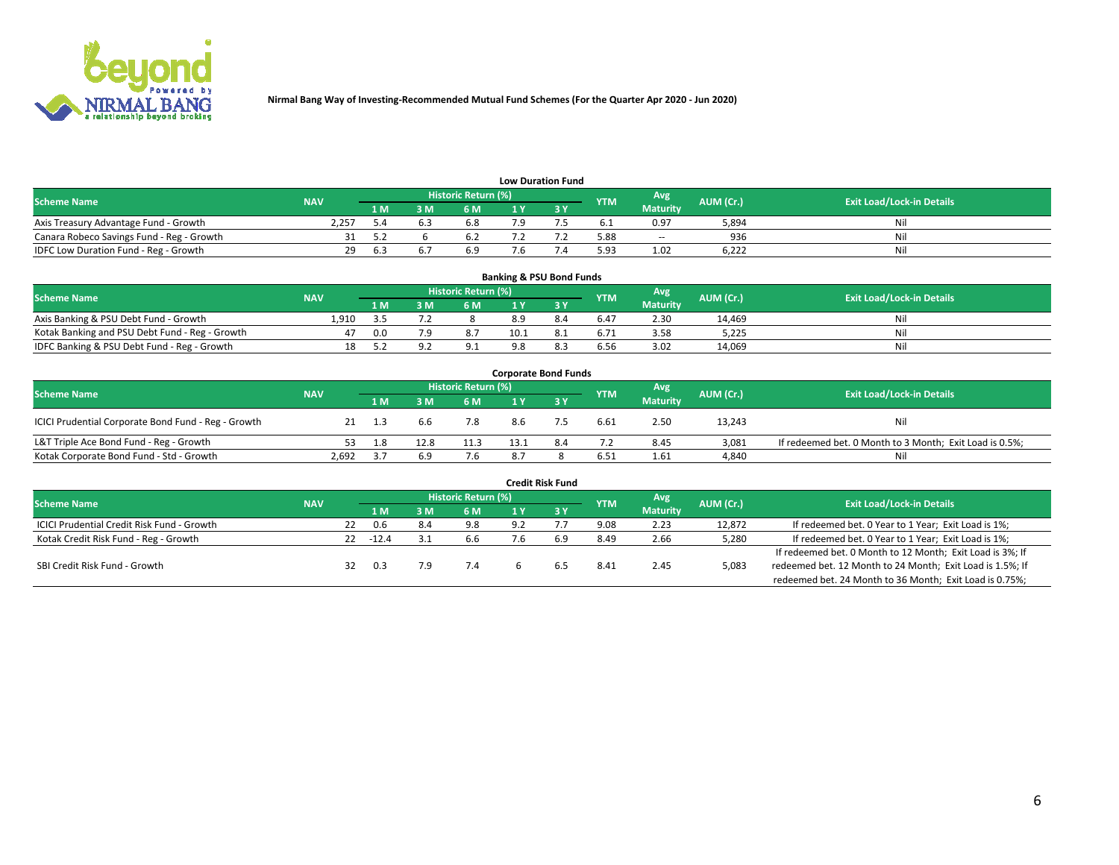

| <b>Low Duration Fund</b>                  |            |      |     |                      |  |  |            |                          |           |                                  |  |  |  |  |
|-------------------------------------------|------------|------|-----|----------------------|--|--|------------|--------------------------|-----------|----------------------------------|--|--|--|--|
| <b>Scheme Name</b>                        | <b>NAV</b> |      |     | Historic Return (%)' |  |  | <b>YTM</b> | Avg                      | AUM (Cr.) | <b>Exit Load/Lock-in Details</b> |  |  |  |  |
|                                           |            | '1 M | : M | 6 M                  |  |  |            | <b>Maturity</b>          |           |                                  |  |  |  |  |
| Axis Treasury Advantage Fund - Growth     | 2.257      |      |     | ხ.8                  |  |  | 6. L       | 0.97                     | 5,894     | Nil                              |  |  |  |  |
| Canara Robeco Savings Fund - Reg - Growth |            |      |     | 6.2                  |  |  | 5.88       | $\overline{\phantom{a}}$ | 936       | Nil                              |  |  |  |  |
| IDFC Low Duration Fund - Reg - Growth     | 29         | 6.3  |     | 6.9                  |  |  | 5.93       | 1.02                     | 6.222     | Nil                              |  |  |  |  |

| <b>Banking &amp; PSU Bond Funds</b>            |            |     |     |                            |      |      |            |                 |           |                                  |  |  |  |  |
|------------------------------------------------|------------|-----|-----|----------------------------|------|------|------------|-----------------|-----------|----------------------------------|--|--|--|--|
| <b>Scheme Name</b>                             | <b>NAV</b> |     |     | <b>Historic Return (%)</b> |      |      | <b>YTM</b> | Avg             | AUM (Cr.) | <b>Exit Load/Lock-in Details</b> |  |  |  |  |
|                                                |            | 1 M | R M | 6 M                        |      |      |            | <b>Maturity</b> |           |                                  |  |  |  |  |
| Axis Banking & PSU Debt Fund - Growth          | 1.910      |     |     |                            | 8.9  |      | 6.47       | 2.30            | 14.469    | Nil                              |  |  |  |  |
| Kotak Banking and PSU Debt Fund - Reg - Growth | 47         | 0.0 |     |                            | 10.1 |      | 6.71       | 3.58            | 5.225     | Nil                              |  |  |  |  |
| IDFC Banking & PSU Debt Fund - Reg - Growth    | 18         |     |     | ン・エ                        |      | -8.5 | 6.56       | 3.02            | 14,069    | Nil                              |  |  |  |  |

| <b>Corporate Bond Funds</b>                         |            |      |      |                     |      |     |            |                 |           |                                                         |  |  |  |  |
|-----------------------------------------------------|------------|------|------|---------------------|------|-----|------------|-----------------|-----------|---------------------------------------------------------|--|--|--|--|
| <b>Scheme Name</b>                                  | <b>NAV</b> |      |      | Historic Return (%) |      |     | <b>YTM</b> | Avg             | AUM (Cr.) | <b>Exit Load/Lock-in Details</b>                        |  |  |  |  |
|                                                     |            | 1 M. | 3 M  | 6 M                 |      |     |            | <b>Maturity</b> |           |                                                         |  |  |  |  |
| ICICI Prudential Corporate Bond Fund - Reg - Growth |            |      | 6.6  | 7.8                 | 8.6  |     | 6.61       | 2.50            | 13,243    | Nil                                                     |  |  |  |  |
| L&T Triple Ace Bond Fund - Reg - Growth             |            | 1.8  | 12.8 | 11.3                | 13.1 | 8.4 | 7.2        | 8.45            | 3.081     | If redeemed bet. 0 Month to 3 Month; Exit Load is 0.5%; |  |  |  |  |
| Kotak Corporate Bond Fund - Std - Growth            | 2,692      | 3.7  | 6.9  | 7.6                 | 8.7  |     | 6.51       | 1.61            | 4,840     | Nil                                                     |  |  |  |  |

| <b>Credit Risk Fund</b>                           |            |    |         |            |                     |     |           |            |                 |           |                                                           |  |  |
|---------------------------------------------------|------------|----|---------|------------|---------------------|-----|-----------|------------|-----------------|-----------|-----------------------------------------------------------|--|--|
| <b>Scheme Name</b>                                | <b>NAV</b> |    |         |            | Historic Return (%) |     |           | <b>YTM</b> | Avg             | AUM (Cr.) | <b>Exit Load/Lock-in Details</b>                          |  |  |
|                                                   |            |    | 1 M     | <b>.</b> M | 6 M                 |     | <b>3Y</b> |            | <b>Maturity</b> |           |                                                           |  |  |
| <b>ICICI Prudential Credit Risk Fund - Growth</b> |            | 22 | 0.6     | 8.4        | 9.8                 | 9.2 |           | 9.08       | 2.23            | 12.872    | If redeemed bet. 0 Year to 1 Year; Exit Load is 1%;       |  |  |
| Kotak Credit Risk Fund - Reg - Growth             |            | 22 | $-12.4$ |            | 6.6                 |     | 6.9       | 8.49       | 2.66            | 5,280     | If redeemed bet. 0 Year to 1 Year; Exit Load is 1%;       |  |  |
|                                                   |            |    |         |            |                     |     |           |            |                 |           | If redeemed bet. 0 Month to 12 Month; Exit Load is 3%; If |  |  |
| SBI Credit Risk Fund - Growth                     |            | 32 | 0.3     |            | 7.4                 |     | . ნ.      | 8.41       | 2.45            | 5,083     | redeemed bet. 12 Month to 24 Month; Exit Load is 1.5%; If |  |  |
|                                                   |            |    |         |            |                     |     |           |            |                 |           | redeemed bet. 24 Month to 36 Month; Exit Load is 0.75%;   |  |  |